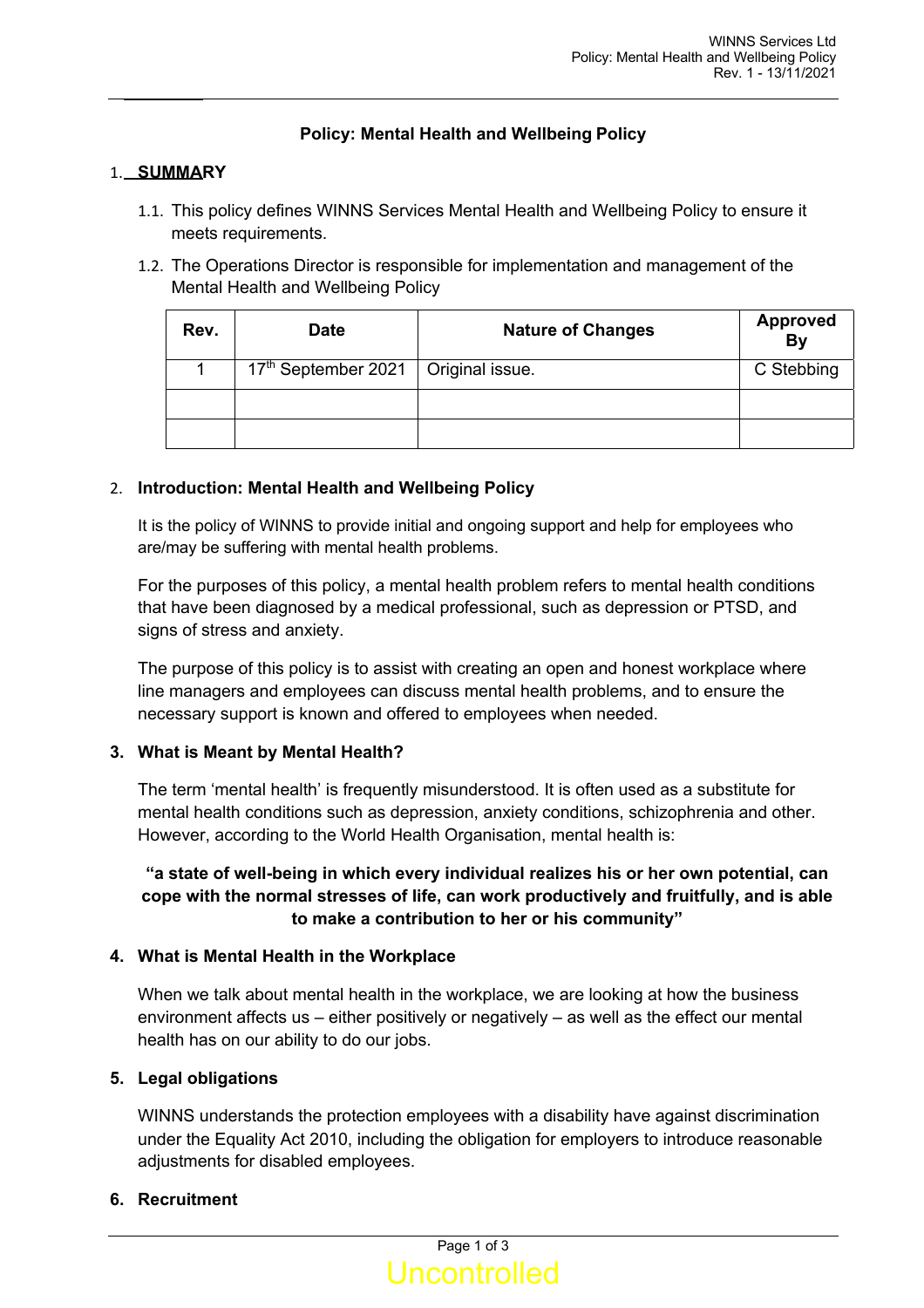# **Policy: Mental Health and Wellbeing Policy**

### 1. **SUMMARY**

- 1.1. This policy defines WINNS Services Mental Health and Wellbeing Policy to ensure it meets requirements.
- 1.2. The Operations Director is responsible for implementation and management of the Mental Health and Wellbeing Policy

| Rev. | <b>Date</b>                                       | <b>Nature of Changes</b> | <b>Approved</b><br><b>By</b> |
|------|---------------------------------------------------|--------------------------|------------------------------|
|      | 17 <sup>th</sup> September 2021   Original issue. |                          | C Stebbing                   |
|      |                                                   |                          |                              |
|      |                                                   |                          |                              |

### 2. **Introduction: Mental Health and Wellbeing Policy**

It is the policy of WINNS to provide initial and ongoing support and help for employees who are/may be suffering with mental health problems.

For the purposes of this policy, a mental health problem refers to mental health conditions that have been diagnosed by a medical professional, such as depression or PTSD, and signs of stress and anxiety.

The purpose of this policy is to assist with creating an open and honest workplace where line managers and employees can discuss mental health problems, and to ensure the necessary support is known and offered to employees when needed.

## **3. What is Meant by Mental Health?**

The term 'mental health' is frequently misunderstood. It is often used as a substitute for mental health conditions such as depression, anxiety conditions, schizophrenia and other. However, according to the World Health Organisation, mental health is:

# **"a state of well-being in which every individual realizes his or her own potential, can cope with the normal stresses of life, can work productively and fruitfully, and is able to make a contribution to her or his community"**

## **4. What is Mental Health in the Workplace**

When we talk about mental health in the workplace, we are looking at how the business environment affects us – either positively or negatively – as well as the effect our mental health has on our ability to do our jobs.

## **5. Legal obligations**

WINNS understands the protection employees with a disability have against discrimination under the Equality Act 2010, including the obligation for employers to introduce reasonable adjustments for disabled employees.

#### **6. Recruitment**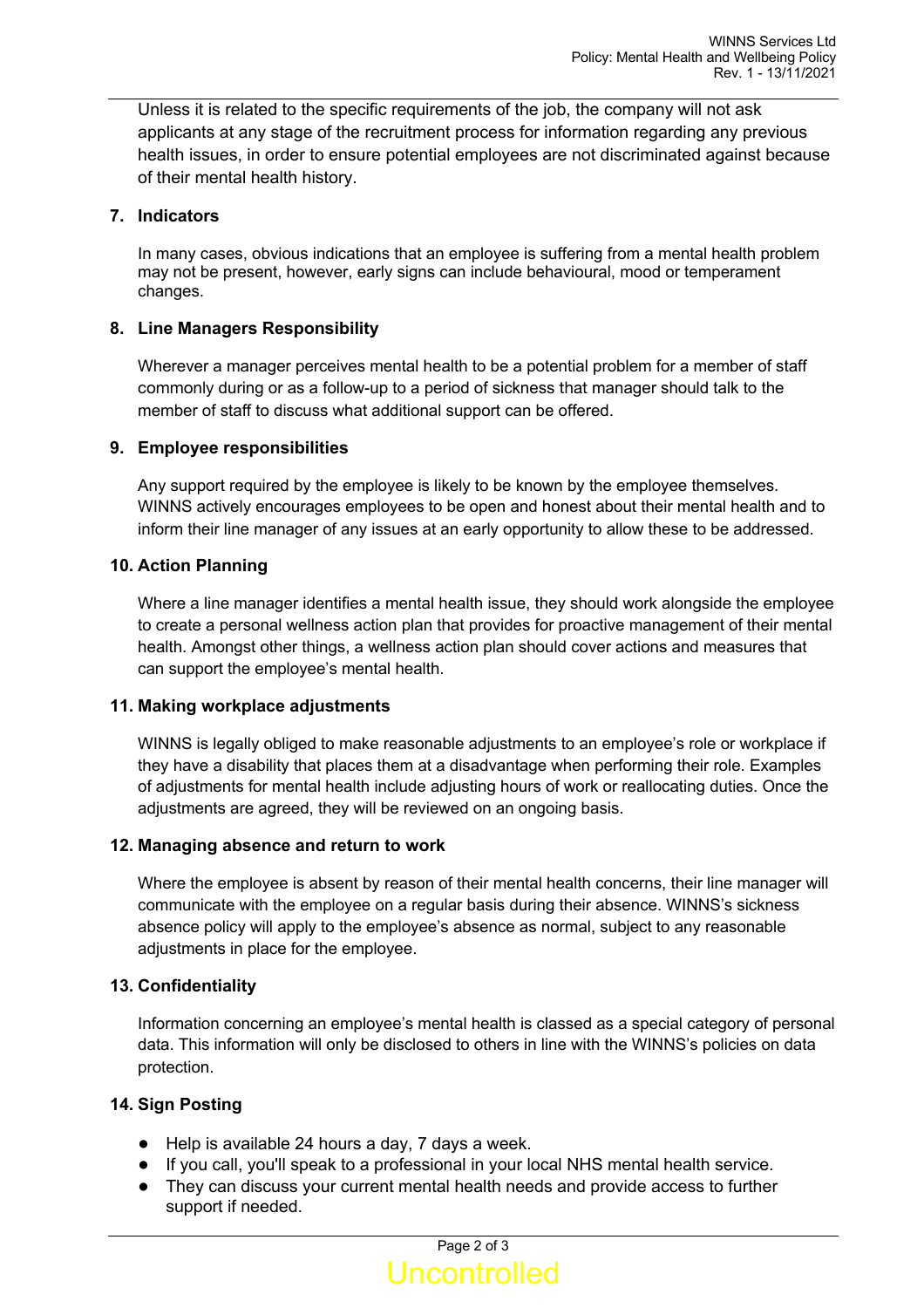Unless it is related to the specific requirements of the job, the company will not ask applicants at any stage of the recruitment process for information regarding any previous health issues, in order to ensure potential employees are not discriminated against because of their mental health history.

### **7. Indicators**

In many cases, obvious indications that an employee is suffering from a mental health problem may not be present, however, early signs can include behavioural, mood or temperament changes.

### **8. Line Managers Responsibility**

Wherever a manager perceives mental health to be a potential problem for a member of staff commonly during or as a follow-up to a period of sickness that manager should talk to the member of staff to discuss what additional support can be offered.

### **9. Employee responsibilities**

Any support required by the employee is likely to be known by the employee themselves. WINNS actively encourages employees to be open and honest about their mental health and to inform their line manager of any issues at an early opportunity to allow these to be addressed.

### **10. Action Planning**

Where a line manager identifies a mental health issue, they should work alongside the employee to create a personal wellness action plan that provides for proactive management of their mental health. Amongst other things, a wellness action plan should cover actions and measures that can support the employee's mental health.

#### **11. Making workplace adjustments**

WINNS is legally obliged to make reasonable adjustments to an employee's role or workplace if they have a disability that places them at a disadvantage when performing their role. Examples of adjustments for mental health include adjusting hours of work or reallocating duties. Once the adjustments are agreed, they will be reviewed on an ongoing basis.

#### **12. Managing absence and return to work**

Where the employee is absent by reason of their mental health concerns, their line manager will communicate with the employee on a regular basis during their absence. WINNS's sickness absence policy will apply to the employee's absence as normal, subject to any reasonable adjustments in place for the employee.

## **13. Confidentiality**

Information concerning an employee's mental health is classed as a special category of personal data. This information will only be disclosed to others in line with the WINNS's policies on data protection.

## **14. Sign Posting**

- Help is available 24 hours a day, 7 days a week.
- If you call, you'll speak to a professional in your local NHS mental health service.
- They can discuss your current mental health needs and provide access to further support if needed.